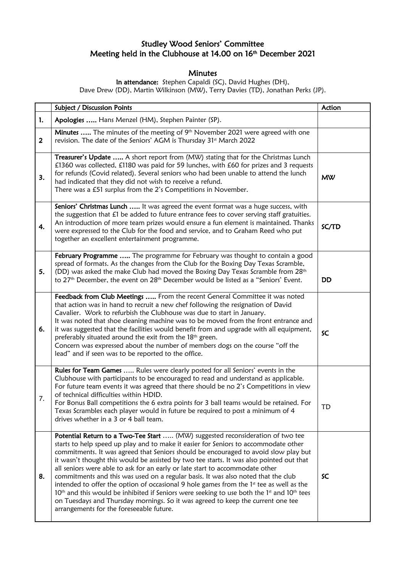## Studley Wood Seniors' Committee Meeting held in the Clubhouse at 14.00 on 16<sup>th</sup> December 2021

## **Minutes**

In attendance: Stephen Capaldi (SC), David Hughes (DH), Dave Drew (DD), Martin Wilkinson (MW), Terry Davies (TD), Jonathan Perks (JP).

|                         | <b>Subject / Discussion Points</b>                                                                                                                                                                                                                                                                                                                                                                                                                                                                                                                                                                                                                                                                                                                                                                                                                                      | Action    |
|-------------------------|-------------------------------------------------------------------------------------------------------------------------------------------------------------------------------------------------------------------------------------------------------------------------------------------------------------------------------------------------------------------------------------------------------------------------------------------------------------------------------------------------------------------------------------------------------------------------------------------------------------------------------------------------------------------------------------------------------------------------------------------------------------------------------------------------------------------------------------------------------------------------|-----------|
| 1.                      | Apologies  Hans Menzel (HM), Stephen Painter (SP).                                                                                                                                                                                                                                                                                                                                                                                                                                                                                                                                                                                                                                                                                                                                                                                                                      |           |
| $\overline{\mathbf{2}}$ | Minutes  The minutes of the meeting of 9th November 2021 were agreed with one<br>revision. The date of the Seniors' AGM is Thursday 31st March 2022                                                                                                                                                                                                                                                                                                                                                                                                                                                                                                                                                                                                                                                                                                                     |           |
| 3.                      | Treasurer's Update  A short report from (MW) stating that for the Christmas Lunch<br>£1360 was collected, £1180 was paid for 59 lunches, with £60 for prizes and 3 requests<br>for refunds (Covid related). Several seniors who had been unable to attend the lunch<br>had indicated that they did not wish to receive a refund.<br>There was a £51 surplus from the 2's Competitions in November.                                                                                                                                                                                                                                                                                                                                                                                                                                                                      | <b>MW</b> |
| 4.                      | Seniors' Christmas Lunch  It was agreed the event format was a huge success, with<br>the suggestion that £1 be added to future entrance fees to cover serving staff gratuities.<br>An introduction of more team prizes would ensure a fun element is maintained. Thanks<br>were expressed to the Club for the food and service, and to Graham Reed who put<br>together an excellent entertainment programme.                                                                                                                                                                                                                                                                                                                                                                                                                                                            | SC/TD     |
| 5.                      | February Programme  The programme for February was thought to contain a good<br>spread of formats. As the changes from the Club for the Boxing Day Texas Scramble,<br>(DD) was asked the make Club had moved the Boxing Day Texas Scramble from 28th<br>to 27 <sup>th</sup> December, the event on 28 <sup>th</sup> December would be listed as a "Seniors' Event.                                                                                                                                                                                                                                                                                                                                                                                                                                                                                                      | <b>DD</b> |
| 6.                      | Feedback from Club Meetings  From the recent General Committee it was noted<br>that action was in hand to recruit a new chef following the resignation of David<br>Cavalier. Work to refurbish the Clubhouse was due to start in January.<br>It was noted that shoe cleaning machine was to be moved from the front entrance and<br>it was suggested that the facilities would benefit from and upgrade with all equipment,<br>preferably situated around the exit from the 18 <sup>th</sup> green.<br>Concern was expressed about the number of members dogs on the course "off the<br>lead" and if seen was to be reported to the office.                                                                                                                                                                                                                             | SC        |
| 7.                      | Rules for Team Games  Rules were clearly posted for all Seniors' events in the<br>Clubhouse with participants to be encouraged to read and understand as applicable.<br>For future team events it was agreed that there should be no 2's Competitions in view<br>of technical difficulties within HDID.<br>For Bonus Ball competitions the 6 extra points for 3 ball teams would be retained. For<br>Texas Scrambles each player would in future be required to post a minimum of 4<br>drives whether in a 3 or 4 ball team.                                                                                                                                                                                                                                                                                                                                            | TD        |
| 8.                      | Potential Return to a Two-Tee Start  (MW) suggested reconsideration of two tee<br>starts to help speed up play and to make it easier for Seniors to accommodate other<br>commitments. It was agreed that Seniors should be encouraged to avoid slow play but<br>it wasn't thought this would be assisted by two tee starts. It was also pointed out that<br>all seniors were able to ask for an early or late start to accommodate other<br>commitments and this was used on a regular basis. It was also noted that the club<br>intended to offer the option of occasional 9 hole games from the $1st$ tee as well as the<br>$10th$ and this would be inhibited if Seniors were seeking to use both the 1 <sup>st</sup> and $10th$ tees<br>on Tuesdays and Thursday mornings. So it was agreed to keep the current one tee<br>arrangements for the foreseeable future. | SC        |